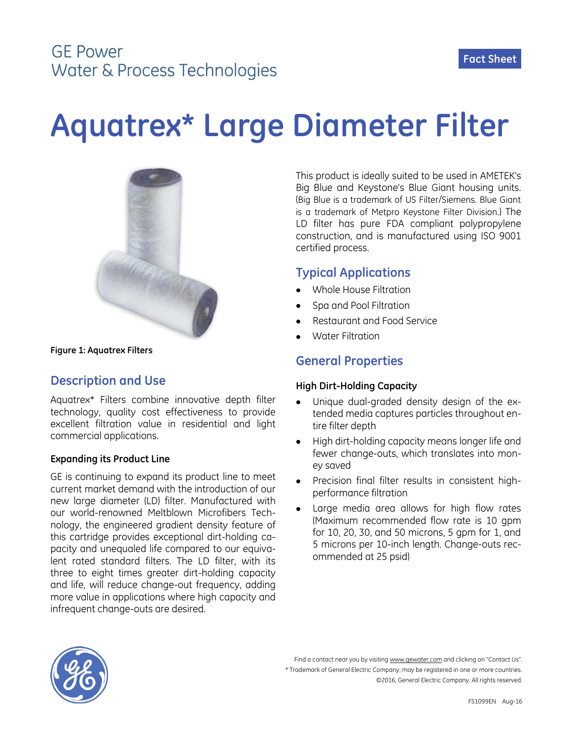## **GF Power** Water & Process Technologies

# **Aquatrex\* Large Diameter Filter**



**Figure 1: Aquatrex Filters**

## **Description and Use**

Aquatrex\* Filters combine innovative depth filter technology, quality cost effectiveness to provide excellent filtration value in residential and light commercial applications.

#### **Expanding its Product Line**

GE is continuing to expand its product line to meet current market demand with the introduction of our new large diameter (LD) filter. Manufactured with our world-renowned Meltblown Microfibers Technology, the engineered gradient density feature of this cartridge provides exceptional dirt-holding capacity and unequaled life compared to our equivalent rated standard filters. The LD filter, with its three to eight times greater dirt-holding capacity and life, will reduce change-out frequency, adding more value in applications where high capacity and infrequent change-outs are desired.

This product is ideally suited to be used in AMETEK's Big Blue and Keystone's Blue Giant housing units. (Big Blue is a trademark of US Filter/Siemens. Blue Giant is a trademark of Metpro Keystone Filter Division.) The LD filter has pure FDA compliant polypropylene construction, and is manufactured using ISO 9001 certified process.

### **Typical Applications**

- Whole House Filtration
- Spa and Pool Filtration
- Restaurant and Food Service
- Water Filtration

## **General Properties**

#### **High Dirt-Holding Capacity**

- Unique dual-graded density design of the extended media captures particles throughout entire filter depth
- High dirt-holding capacity means longer life and fewer change-outs, which translates into money saved
- Precision final filter results in consistent highperformance filtration
- Large media area allows for high flow rates (Maximum recommended flow rate is 10 gpm for 10, 20, 30, and 50 microns, 5 gpm for 1, and 5 microns per 10-inch length. Change-outs recommended at 25 psid)



Find a contact near you by visiting www.gewater.com and clicking on "Contact Us". \* Trademark of General Electric Company; may be registered in one or more countries. ©2016, General Electric Company. All rights reserved.